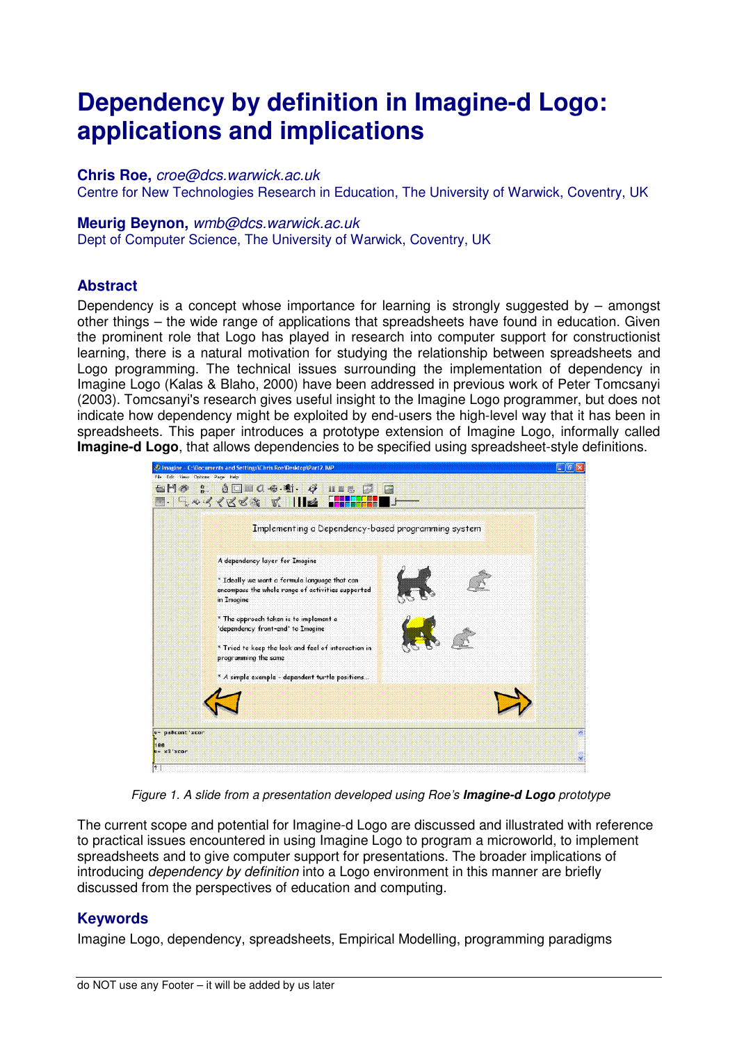# **Dependency by definition in Imagine-d Logo: applications and implications**

#### **Chris Roe,** croe@dcs.warwick.ac.uk

Centre for New Technologies Research in Education, The University of Warwick, Coventry, UK

#### **Meurig Beynon,** wmb@dcs.warwick.ac.uk

Dept of Computer Science, The University of Warwick, Coventry, UK

#### **Abstract**

Dependency is a concept whose importance for learning is strongly suggested by – amongst other things – the wide range of applications that spreadsheets have found in education. Given the prominent role that Logo has played in research into computer support for constructionist learning, there is a natural motivation for studying the relationship between spreadsheets and Logo programming. The technical issues surrounding the implementation of dependency in Imagine Logo (Kalas & Blaho, 2000) have been addressed in previous work of Peter Tomcsanyi (2003). Tomcsanyi's research gives useful insight to the Imagine Logo programmer, but does not indicate how dependency might be exploited by end-users the high-level way that it has been in spreadsheets. This paper introduces a prototype extension of Imagine Logo, informally called **Imagine-d Logo**, that allows dependencies to be specified using spreadsheet-style definitions.



Figure 1. A slide from a presentation developed using Roe's **Imagine-d Logo** prototype

The current scope and potential for Imagine-d Logo are discussed and illustrated with reference to practical issues encountered in using Imagine Logo to program a microworld, to implement spreadsheets and to give computer support for presentations. The broader implications of introducing *dependency by definition* into a Logo environment in this manner are briefly discussed from the perspectives of education and computing.

#### **Keywords**

Imagine Logo, dependency, spreadsheets, Empirical Modelling, programming paradigms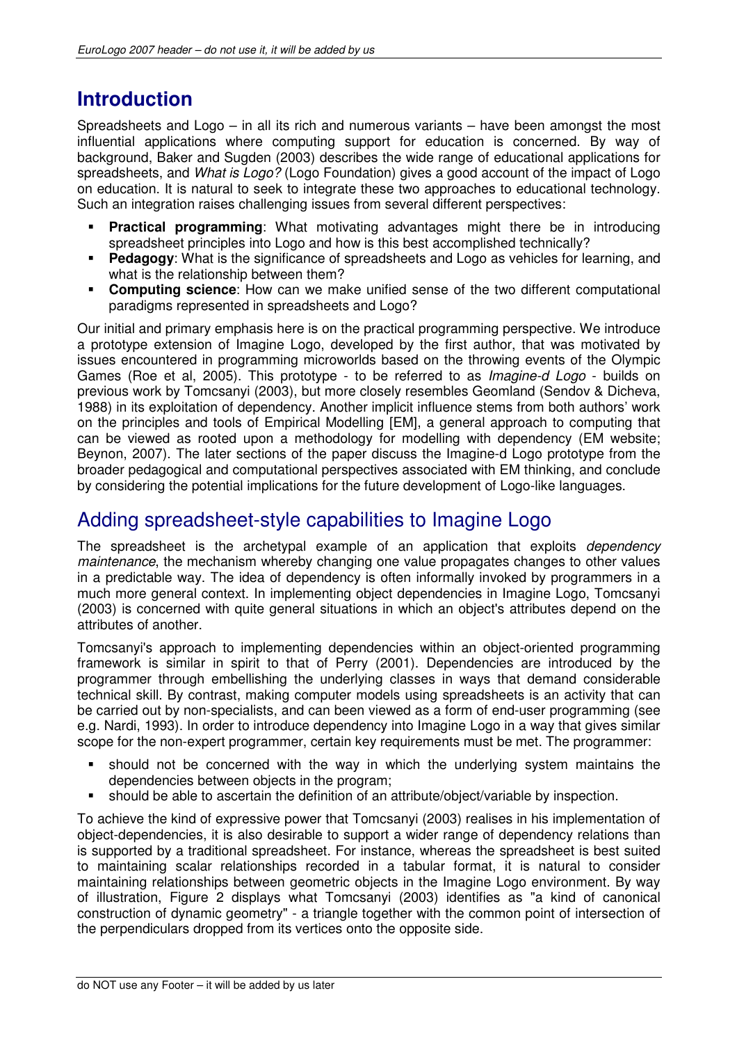# **Introduction**

Spreadsheets and Logo – in all its rich and numerous variants – have been amongst the most influential applications where computing support for education is concerned. By way of background, Baker and Sugden (2003) describes the wide range of educational applications for spreadsheets, and *What is Logo?* (Logo Foundation) gives a good account of the impact of Logo on education. It is natural to seek to integrate these two approaches to educational technology. Such an integration raises challenging issues from several different perspectives:

- **Practical programming**: What motivating advantages might there be in introducing spreadsheet principles into Logo and how is this best accomplished technically?
- **Pedagogy:** What is the significance of spreadsheets and Logo as vehicles for learning, and what is the relationship between them?
- **Computing science**: How can we make unified sense of the two different computational paradigms represented in spreadsheets and Logo?

Our initial and primary emphasis here is on the practical programming perspective. We introduce a prototype extension of Imagine Logo, developed by the first author, that was motivated by issues encountered in programming microworlds based on the throwing events of the Olympic Games (Roe et al, 2005). This prototype - to be referred to as Imagine-d Logo - builds on previous work by Tomcsanyi (2003), but more closely resembles Geomland (Sendov & Dicheva, 1988) in its exploitation of dependency. Another implicit influence stems from both authors' work on the principles and tools of Empirical Modelling [EM], a general approach to computing that can be viewed as rooted upon a methodology for modelling with dependency (EM website; Beynon, 2007). The later sections of the paper discuss the Imagine-d Logo prototype from the broader pedagogical and computational perspectives associated with EM thinking, and conclude by considering the potential implications for the future development of Logo-like languages.

### Adding spreadsheet-style capabilities to Imagine Logo

The spreadsheet is the archetypal example of an application that exploits *dependency* maintenance, the mechanism whereby changing one value propagates changes to other values in a predictable way. The idea of dependency is often informally invoked by programmers in a much more general context. In implementing object dependencies in Imagine Logo, Tomcsanyi (2003) is concerned with quite general situations in which an object's attributes depend on the attributes of another.

Tomcsanyi's approach to implementing dependencies within an object-oriented programming framework is similar in spirit to that of Perry (2001). Dependencies are introduced by the programmer through embellishing the underlying classes in ways that demand considerable technical skill. By contrast, making computer models using spreadsheets is an activity that can be carried out by non-specialists, and can been viewed as a form of end-user programming (see e.g. Nardi, 1993). In order to introduce dependency into Imagine Logo in a way that gives similar scope for the non-expert programmer, certain key requirements must be met. The programmer:

- should not be concerned with the way in which the underlying system maintains the dependencies between objects in the program;
- should be able to ascertain the definition of an attribute/object/variable by inspection.

To achieve the kind of expressive power that Tomcsanyi (2003) realises in his implementation of object-dependencies, it is also desirable to support a wider range of dependency relations than is supported by a traditional spreadsheet. For instance, whereas the spreadsheet is best suited to maintaining scalar relationships recorded in a tabular format, it is natural to consider maintaining relationships between geometric objects in the Imagine Logo environment. By way of illustration, Figure 2 displays what Tomcsanyi (2003) identifies as "a kind of canonical construction of dynamic geometry" - a triangle together with the common point of intersection of the perpendiculars dropped from its vertices onto the opposite side.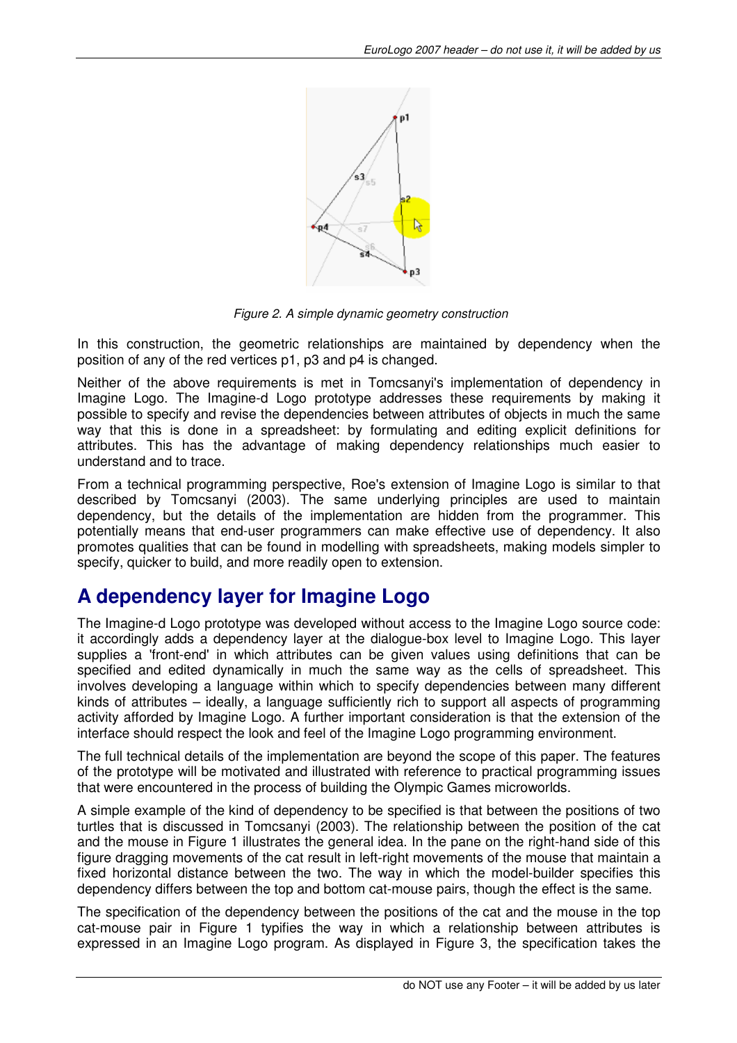

Figure 2. A simple dynamic geometry construction

In this construction, the geometric relationships are maintained by dependency when the position of any of the red vertices p1, p3 and p4 is changed.

Neither of the above requirements is met in Tomcsanyi's implementation of dependency in Imagine Logo. The Imagine-d Logo prototype addresses these requirements by making it possible to specify and revise the dependencies between attributes of objects in much the same way that this is done in a spreadsheet: by formulating and editing explicit definitions for attributes. This has the advantage of making dependency relationships much easier to understand and to trace.

From a technical programming perspective, Roe's extension of Imagine Logo is similar to that described by Tomcsanyi (2003). The same underlying principles are used to maintain dependency, but the details of the implementation are hidden from the programmer. This potentially means that end-user programmers can make effective use of dependency. It also promotes qualities that can be found in modelling with spreadsheets, making models simpler to specify, quicker to build, and more readily open to extension.

### **A dependency layer for Imagine Logo**

The Imagine-d Logo prototype was developed without access to the Imagine Logo source code: it accordingly adds a dependency layer at the dialogue-box level to Imagine Logo. This layer supplies a 'front-end' in which attributes can be given values using definitions that can be specified and edited dynamically in much the same way as the cells of spreadsheet. This involves developing a language within which to specify dependencies between many different kinds of attributes – ideally, a language sufficiently rich to support all aspects of programming activity afforded by Imagine Logo. A further important consideration is that the extension of the interface should respect the look and feel of the Imagine Logo programming environment.

The full technical details of the implementation are beyond the scope of this paper. The features of the prototype will be motivated and illustrated with reference to practical programming issues that were encountered in the process of building the Olympic Games microworlds.

A simple example of the kind of dependency to be specified is that between the positions of two turtles that is discussed in Tomcsanyi (2003). The relationship between the position of the cat and the mouse in Figure 1 illustrates the general idea. In the pane on the right-hand side of this figure dragging movements of the cat result in left-right movements of the mouse that maintain a fixed horizontal distance between the two. The way in which the model-builder specifies this dependency differs between the top and bottom cat-mouse pairs, though the effect is the same.

The specification of the dependency between the positions of the cat and the mouse in the top cat-mouse pair in Figure 1 typifies the way in which a relationship between attributes is expressed in an Imagine Logo program. As displayed in Figure 3, the specification takes the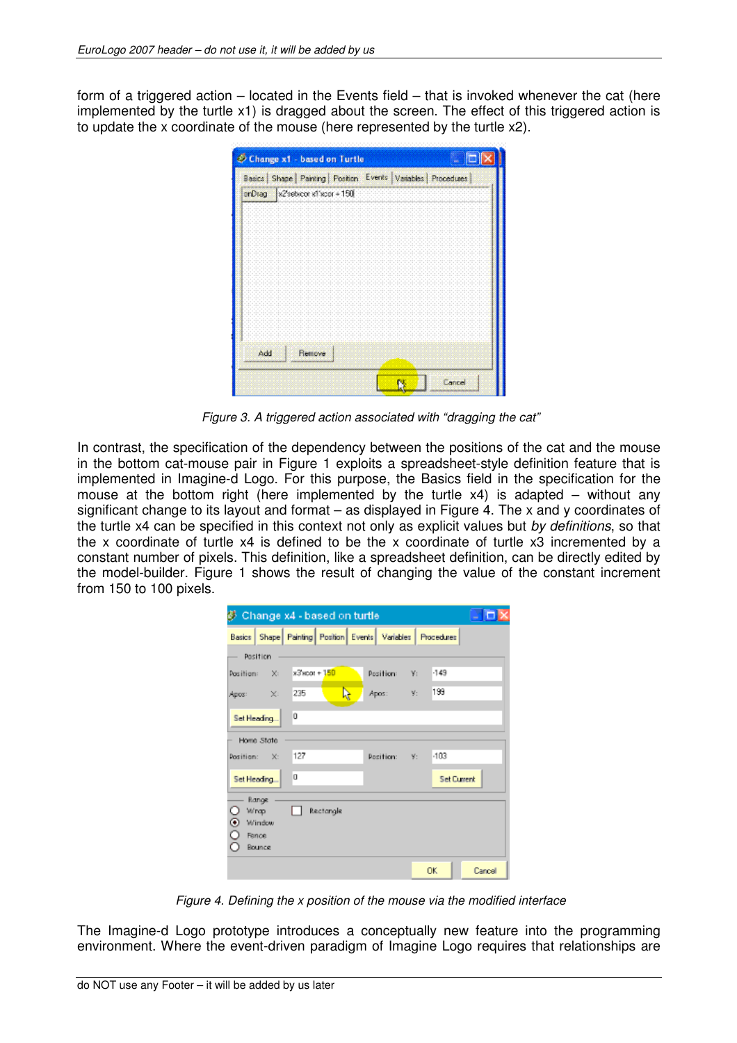form of a triggered action – located in the Events field – that is invoked whenever the cat (here implemented by the turtle x1) is dragged about the screen. The effect of this triggered action is to update the x coordinate of the mouse (here represented by the turtle x2).

|     | Change x1 - based on Turtle<br>u                                     |
|-----|----------------------------------------------------------------------|
|     | Basics   Shape   Painting   Position Events   Variables   Procedures |
|     | orDrag x29ebicor x1 xcor + 150                                       |
|     |                                                                      |
|     |                                                                      |
|     |                                                                      |
|     |                                                                      |
|     |                                                                      |
|     |                                                                      |
|     |                                                                      |
|     |                                                                      |
| Add | Remove                                                               |
|     |                                                                      |
|     | Cancel                                                               |

Figure 3. A triggered action associated with "dragging the cat"

In contrast, the specification of the dependency between the positions of the cat and the mouse in the bottom cat-mouse pair in Figure 1 exploits a spreadsheet-style definition feature that is implemented in Imagine-d Logo. For this purpose, the Basics field in the specification for the mouse at the bottom right (here implemented by the turtle x4) is adapted – without any significant change to its layout and format – as displayed in Figure 4. The x and y coordinates of the turtle x4 can be specified in this context not only as explicit values but by definitions, so that the x coordinate of turtle x4 is defined to be the x coordinate of turtle x3 incremented by a constant number of pixels. This definition, like a spreadsheet definition, can be directly edited by the model-builder. Figure 1 shows the result of changing the value of the constant increment from 150 to 100 pixels.

|                         |                |               | 參 Change x4 - based on turtle |                                                                        |        |                    |        |
|-------------------------|----------------|---------------|-------------------------------|------------------------------------------------------------------------|--------|--------------------|--------|
|                         |                |               |                               | Basics   Shape   Painting   Position   Events   Variables   Procedures |        |                    |        |
|                         | Position       |               |                               |                                                                        |        |                    |        |
| Pasition: X:            |                | x3'xcor + 150 |                               | Position:                                                              | V.     | $-149$             |        |
| Apos: X:                |                | 235           | Ŋ                             | Apos:                                                                  | $-9$ : | 199                |        |
| Set Heading             |                | Ü             |                               |                                                                        |        |                    |        |
|                         | Home State     |               |                               |                                                                        |        |                    |        |
| Position: X:            |                | 127           |                               | Position: V:                                                           |        | $-103$             |        |
| Set Heading.            |                | o             |                               |                                                                        |        | <b>Set Current</b> |        |
|                         | Range<br>Winap |               | Rectangle                     |                                                                        |        |                    |        |
| $\hat{\mathbf{\Theta}}$ | Window         |               |                               |                                                                        |        |                    |        |
| Ò                       | Fence          |               |                               |                                                                        |        |                    |        |
|                         | Bounce         |               |                               |                                                                        |        |                    |        |
|                         |                |               |                               |                                                                        |        | OK.                | Cancel |

Figure 4. Defining the x position of the mouse via the modified interface

The Imagine-d Logo prototype introduces a conceptually new feature into the programming environment. Where the event-driven paradigm of Imagine Logo requires that relationships are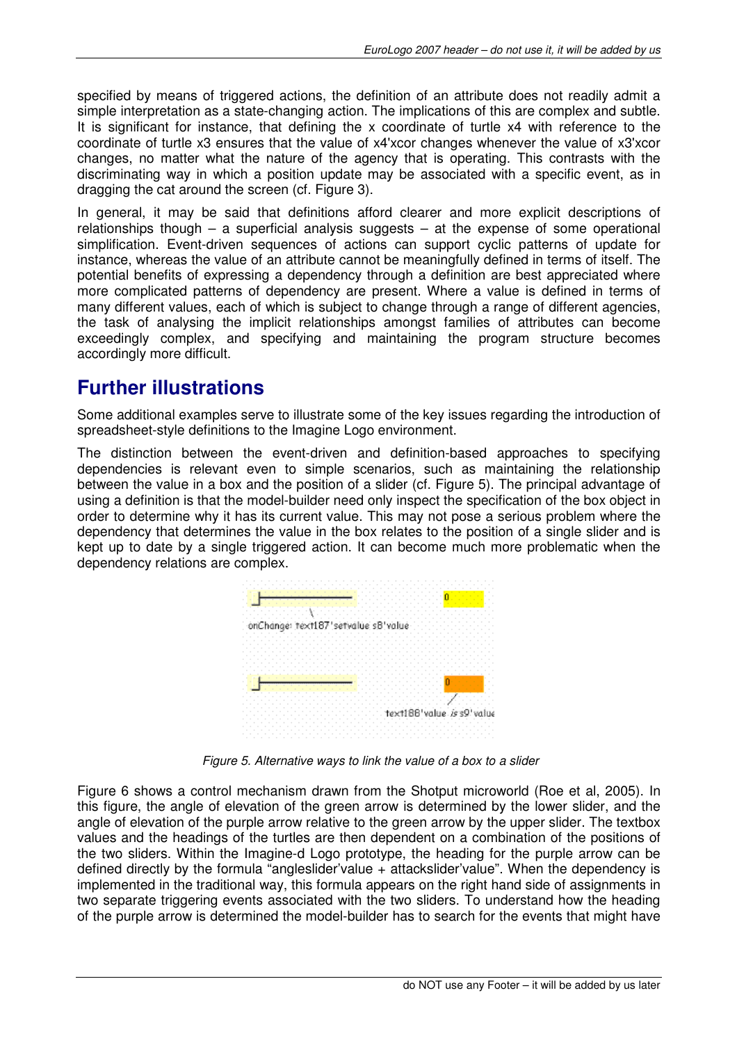specified by means of triggered actions, the definition of an attribute does not readily admit a simple interpretation as a state-changing action. The implications of this are complex and subtle. It is significant for instance, that defining the x coordinate of turtle x4 with reference to the coordinate of turtle x3 ensures that the value of x4'xcor changes whenever the value of x3'xcor changes, no matter what the nature of the agency that is operating. This contrasts with the discriminating way in which a position update may be associated with a specific event, as in dragging the cat around the screen (cf. Figure 3).

In general, it may be said that definitions afford clearer and more explicit descriptions of relationships though – a superficial analysis suggests – at the expense of some operational simplification. Event-driven sequences of actions can support cyclic patterns of update for instance, whereas the value of an attribute cannot be meaningfully defined in terms of itself. The potential benefits of expressing a dependency through a definition are best appreciated where more complicated patterns of dependency are present. Where a value is defined in terms of many different values, each of which is subject to change through a range of different agencies, the task of analysing the implicit relationships amongst families of attributes can become exceedingly complex, and specifying and maintaining the program structure becomes accordingly more difficult.

### **Further illustrations**

Some additional examples serve to illustrate some of the key issues regarding the introduction of spreadsheet-style definitions to the Imagine Logo environment.

The distinction between the event-driven and definition-based approaches to specifying dependencies is relevant even to simple scenarios, such as maintaining the relationship between the value in a box and the position of a slider (cf. Figure 5). The principal advantage of using a definition is that the model-builder need only inspect the specification of the box object in order to determine why it has its current value. This may not pose a serious problem where the dependency that determines the value in the box relates to the position of a single slider and is kept up to date by a single triggered action. It can become much more problematic when the dependency relations are complex.



Figure 5. Alternative ways to link the value of a box to a slider

Figure 6 shows a control mechanism drawn from the Shotput microworld (Roe et al, 2005). In this figure, the angle of elevation of the green arrow is determined by the lower slider, and the angle of elevation of the purple arrow relative to the green arrow by the upper slider. The textbox values and the headings of the turtles are then dependent on a combination of the positions of the two sliders. Within the Imagine-d Logo prototype, the heading for the purple arrow can be defined directly by the formula "angleslider'value + attackslider'value". When the dependency is implemented in the traditional way, this formula appears on the right hand side of assignments in two separate triggering events associated with the two sliders. To understand how the heading of the purple arrow is determined the model-builder has to search for the events that might have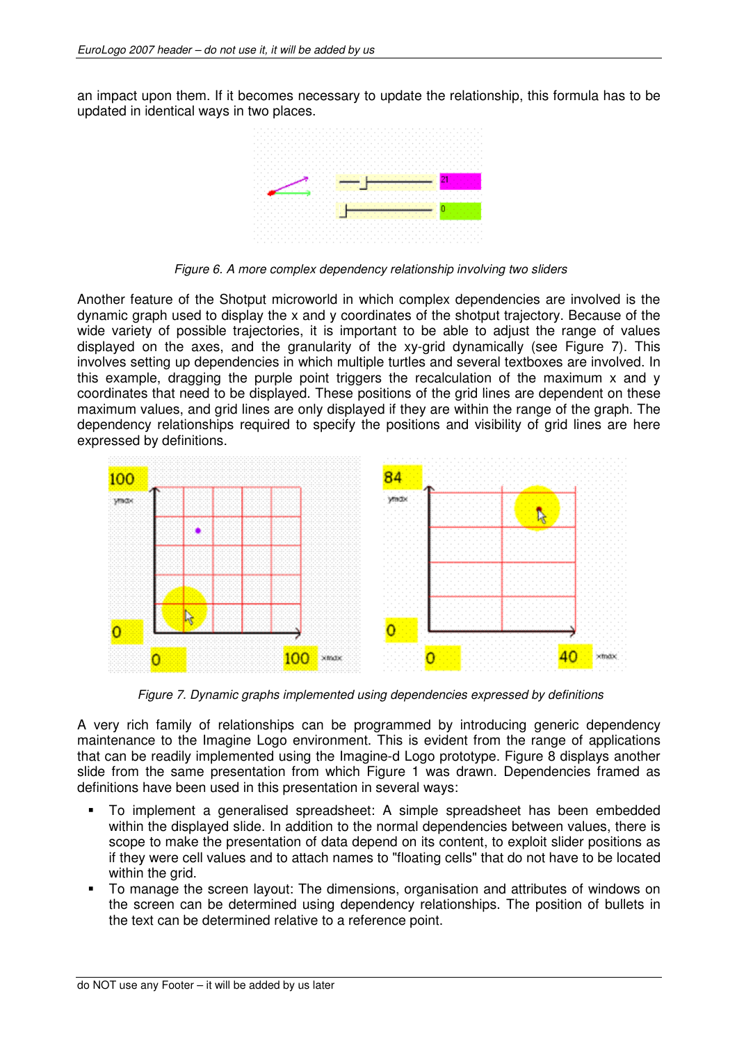an impact upon them. If it becomes necessary to update the relationship, this formula has to be updated in identical ways in two places.



Figure 6. A more complex dependency relationship involving two sliders

Another feature of the Shotput microworld in which complex dependencies are involved is the dynamic graph used to display the x and y coordinates of the shotput trajectory. Because of the wide variety of possible trajectories, it is important to be able to adjust the range of values displayed on the axes, and the granularity of the xy-grid dynamically (see Figure 7). This involves setting up dependencies in which multiple turtles and several textboxes are involved. In this example, dragging the purple point triggers the recalculation of the maximum x and y coordinates that need to be displayed. These positions of the grid lines are dependent on these maximum values, and grid lines are only displayed if they are within the range of the graph. The dependency relationships required to specify the positions and visibility of grid lines are here expressed by definitions.



Figure 7. Dynamic graphs implemented using dependencies expressed by definitions

A very rich family of relationships can be programmed by introducing generic dependency maintenance to the Imagine Logo environment. This is evident from the range of applications that can be readily implemented using the Imagine-d Logo prototype. Figure 8 displays another slide from the same presentation from which Figure 1 was drawn. Dependencies framed as definitions have been used in this presentation in several ways:

- To implement a generalised spreadsheet: A simple spreadsheet has been embedded within the displayed slide. In addition to the normal dependencies between values, there is scope to make the presentation of data depend on its content, to exploit slider positions as if they were cell values and to attach names to "floating cells" that do not have to be located within the grid.
- To manage the screen layout: The dimensions, organisation and attributes of windows on the screen can be determined using dependency relationships. The position of bullets in the text can be determined relative to a reference point.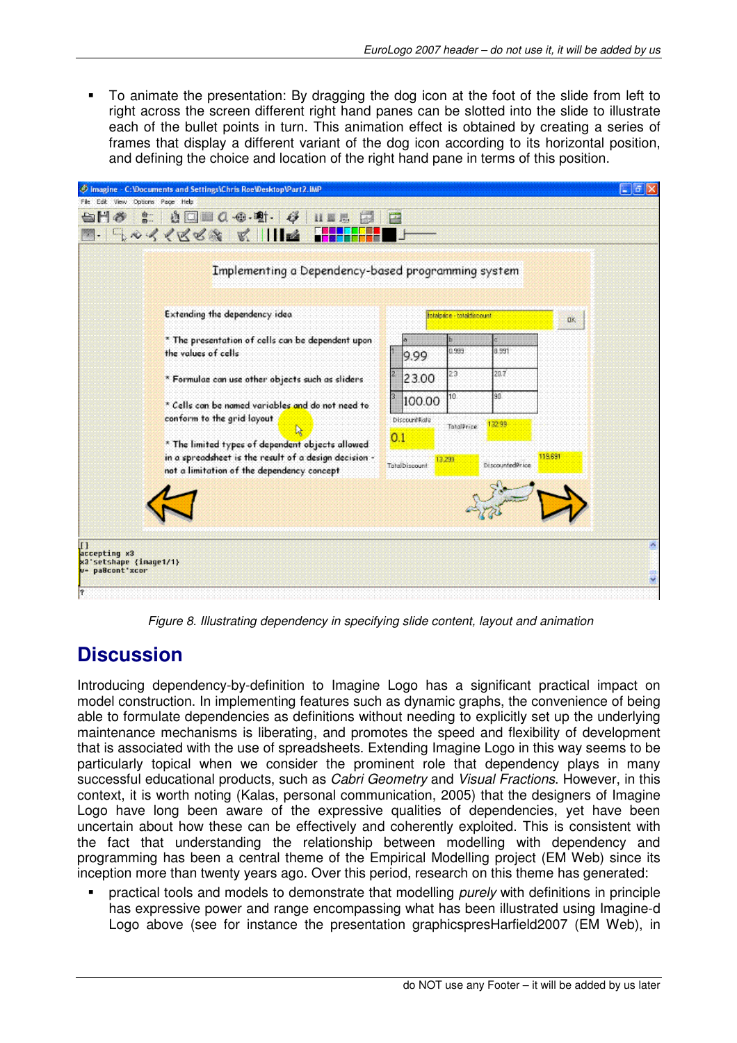To animate the presentation: By dragging the dog icon at the foot of the slide from left to right across the screen different right hand panes can be slotted into the slide to illustrate each of the bullet points in turn. This animation effect is obtained by creating a series of frames that display a different variant of the dog icon according to its horizontal position, and defining the choice and location of the right hand pane in terms of this position.

| Implementing a Dependency-based programming system                                                                                                      |     |                          |            |                        |         |
|---------------------------------------------------------------------------------------------------------------------------------------------------------|-----|--------------------------|------------|------------------------|---------|
| Extending the dependency idea                                                                                                                           |     | totalprice totaldiscount |            |                        |         |
| * The presentation of cells can be dependent upon<br>the values of cells                                                                                |     | 9.99                     | 0.999      | 8.991                  |         |
| * Formulae can use other objects such as sliders                                                                                                        |     | 23.00                    | 23         | 20.7                   |         |
| * Cells can be named variables and do not need to                                                                                                       |     | 100.00                   | 10         | 30                     |         |
| conform to the grid layout<br>N                                                                                                                         |     | <b>DiscountRate</b>      | TatalPrice | 132.99                 |         |
| * The limited types of dependent objects allowed<br>in a spreadsheet is the result of a design decision -<br>not a limitation of the dependency concept | 0.1 | Tatalbiscount            | 13.299     | <b>DiscountedPrice</b> | 119.691 |
|                                                                                                                                                         |     |                          |            |                        |         |

Figure 8. Illustrating dependency in specifying slide content, layout and animation

### **Discussion**

Introducing dependency-by-definition to Imagine Logo has a significant practical impact on model construction. In implementing features such as dynamic graphs, the convenience of being able to formulate dependencies as definitions without needing to explicitly set up the underlying maintenance mechanisms is liberating, and promotes the speed and flexibility of development that is associated with the use of spreadsheets. Extending Imagine Logo in this way seems to be particularly topical when we consider the prominent role that dependency plays in many successful educational products, such as Cabri Geometry and Visual Fractions. However, in this context, it is worth noting (Kalas, personal communication, 2005) that the designers of Imagine Logo have long been aware of the expressive qualities of dependencies, yet have been uncertain about how these can be effectively and coherently exploited. This is consistent with the fact that understanding the relationship between modelling with dependency and programming has been a central theme of the Empirical Modelling project (EM Web) since its inception more than twenty years ago. Over this period, research on this theme has generated:

practical tools and models to demonstrate that modelling *purely* with definitions in principle has expressive power and range encompassing what has been illustrated using Imagine-d Logo above (see for instance the presentation graphicspresHarfield2007 (EM Web), in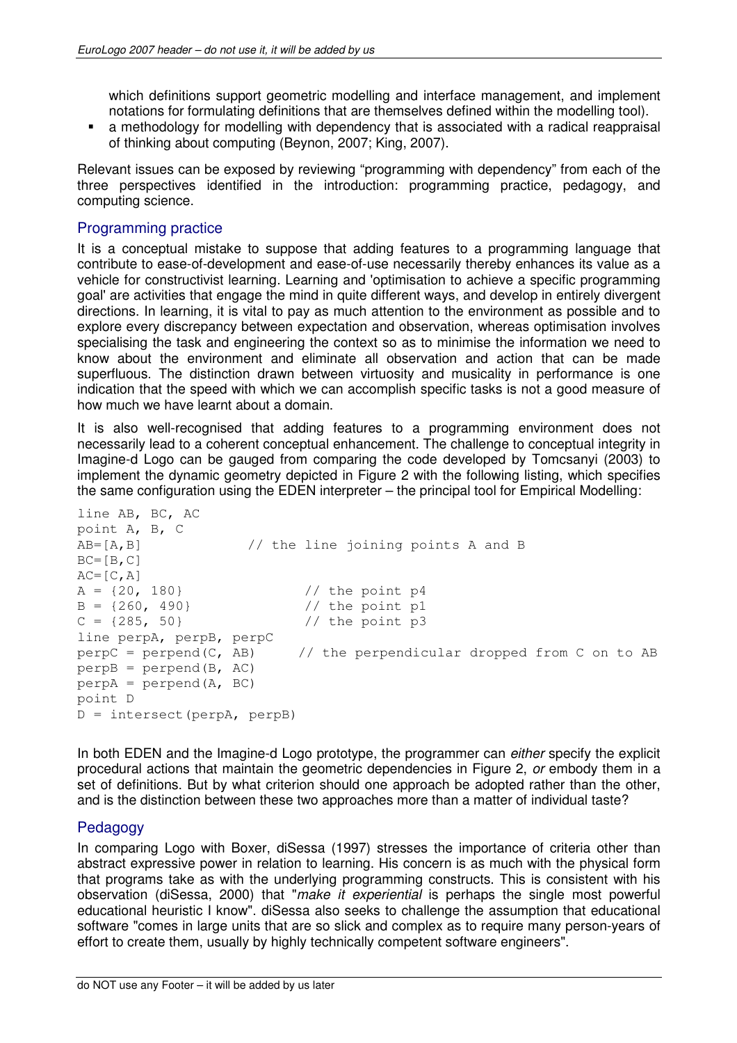which definitions support geometric modelling and interface management, and implement notations for formulating definitions that are themselves defined within the modelling tool).

 a methodology for modelling with dependency that is associated with a radical reappraisal of thinking about computing (Beynon, 2007; King, 2007).

Relevant issues can be exposed by reviewing "programming with dependency" from each of the three perspectives identified in the introduction: programming practice, pedagogy, and computing science.

#### Programming practice

It is a conceptual mistake to suppose that adding features to a programming language that contribute to ease-of-development and ease-of-use necessarily thereby enhances its value as a vehicle for constructivist learning. Learning and 'optimisation to achieve a specific programming goal' are activities that engage the mind in quite different ways, and develop in entirely divergent directions. In learning, it is vital to pay as much attention to the environment as possible and to explore every discrepancy between expectation and observation, whereas optimisation involves specialising the task and engineering the context so as to minimise the information we need to know about the environment and eliminate all observation and action that can be made superfluous. The distinction drawn between virtuosity and musicality in performance is one indication that the speed with which we can accomplish specific tasks is not a good measure of how much we have learnt about a domain.

It is also well-recognised that adding features to a programming environment does not necessarily lead to a coherent conceptual enhancement. The challenge to conceptual integrity in Imagine-d Logo can be gauged from comparing the code developed by Tomcsanyi (2003) to implement the dynamic geometry depicted in Figure 2 with the following listing, which specifies the same configuration using the EDEN interpreter – the principal tool for Empirical Modelling:

```
line AB, BC, AC 
point A, B, C 
AB=[A,B] // the line joining points A and B 
BC = [B, C]AC=[C, A]A = \{20, 180\} // the point p4
B = \{260, 490\} // the point p1
C = \{285, 50\} // the point p3
line perpA, perpB, perpC 
perp C = perpend(C, AB) // the perpendicular dropped from C on to AB
perpB = perpend(B, AC) 
perp = perpend(A, BC)
point D 
D = intersect(perpA, perpB)
```
In both EDEN and the Imagine-d Logo prototype, the programmer can *either* specify the explicit procedural actions that maintain the geometric dependencies in Figure 2, or embody them in a set of definitions. But by what criterion should one approach be adopted rather than the other, and is the distinction between these two approaches more than a matter of individual taste?

#### Pedagogy

In comparing Logo with Boxer, diSessa (1997) stresses the importance of criteria other than abstract expressive power in relation to learning. His concern is as much with the physical form that programs take as with the underlying programming constructs. This is consistent with his observation (diSessa, 2000) that "make it experiential is perhaps the single most powerful educational heuristic I know". diSessa also seeks to challenge the assumption that educational software "comes in large units that are so slick and complex as to require many person-years of effort to create them, usually by highly technically competent software engineers".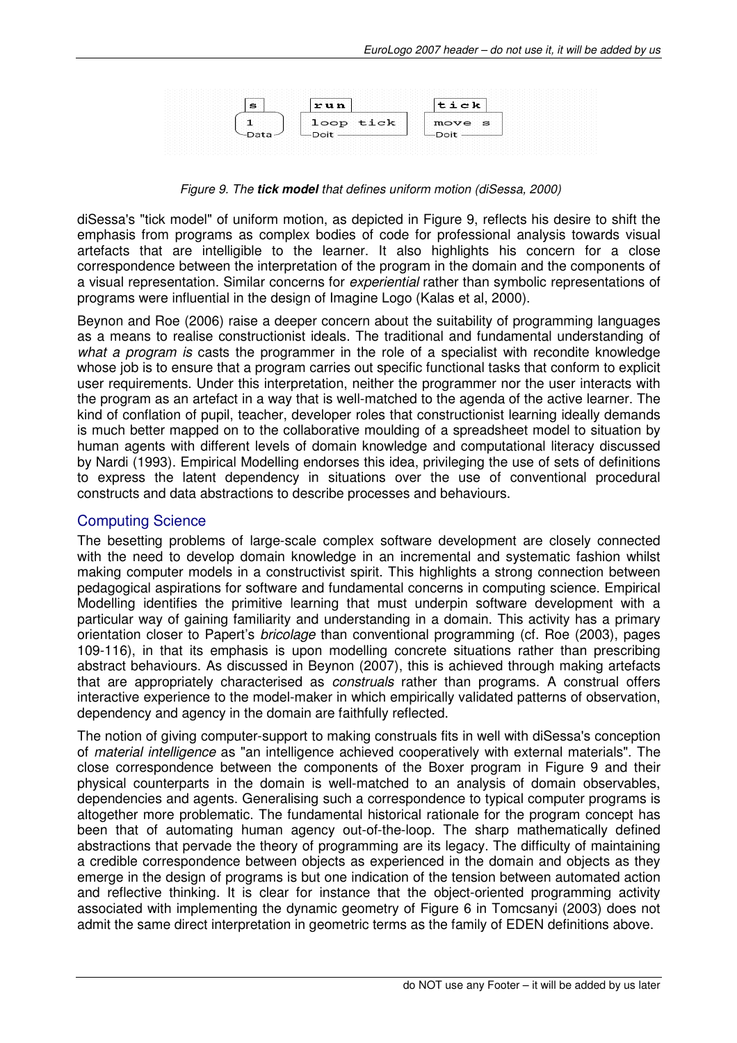

Figure 9. The **tick model** that defines uniform motion (diSessa, 2000)

diSessa's "tick model" of uniform motion, as depicted in Figure 9, reflects his desire to shift the emphasis from programs as complex bodies of code for professional analysis towards visual artefacts that are intelligible to the learner. It also highlights his concern for a close correspondence between the interpretation of the program in the domain and the components of a visual representation. Similar concerns for experiential rather than symbolic representations of programs were influential in the design of Imagine Logo (Kalas et al, 2000).

Beynon and Roe (2006) raise a deeper concern about the suitability of programming languages as a means to realise constructionist ideals. The traditional and fundamental understanding of what a program is casts the programmer in the role of a specialist with recondite knowledge whose job is to ensure that a program carries out specific functional tasks that conform to explicit user requirements. Under this interpretation, neither the programmer nor the user interacts with the program as an artefact in a way that is well-matched to the agenda of the active learner. The kind of conflation of pupil, teacher, developer roles that constructionist learning ideally demands is much better mapped on to the collaborative moulding of a spreadsheet model to situation by human agents with different levels of domain knowledge and computational literacy discussed by Nardi (1993). Empirical Modelling endorses this idea, privileging the use of sets of definitions to express the latent dependency in situations over the use of conventional procedural constructs and data abstractions to describe processes and behaviours.

#### Computing Science

The besetting problems of large-scale complex software development are closely connected with the need to develop domain knowledge in an incremental and systematic fashion whilst making computer models in a constructivist spirit. This highlights a strong connection between pedagogical aspirations for software and fundamental concerns in computing science. Empirical Modelling identifies the primitive learning that must underpin software development with a particular way of gaining familiarity and understanding in a domain. This activity has a primary orientation closer to Papert's bricolage than conventional programming (cf. Roe (2003), pages 109-116), in that its emphasis is upon modelling concrete situations rather than prescribing abstract behaviours. As discussed in Beynon (2007), this is achieved through making artefacts that are appropriately characterised as *construals* rather than programs. A construal offers interactive experience to the model-maker in which empirically validated patterns of observation, dependency and agency in the domain are faithfully reflected.

The notion of giving computer-support to making construals fits in well with diSessa's conception of material intelligence as "an intelligence achieved cooperatively with external materials". The close correspondence between the components of the Boxer program in Figure 9 and their physical counterparts in the domain is well-matched to an analysis of domain observables, dependencies and agents. Generalising such a correspondence to typical computer programs is altogether more problematic. The fundamental historical rationale for the program concept has been that of automating human agency out-of-the-loop. The sharp mathematically defined abstractions that pervade the theory of programming are its legacy. The difficulty of maintaining a credible correspondence between objects as experienced in the domain and objects as they emerge in the design of programs is but one indication of the tension between automated action and reflective thinking. It is clear for instance that the object-oriented programming activity associated with implementing the dynamic geometry of Figure 6 in Tomcsanyi (2003) does not admit the same direct interpretation in geometric terms as the family of EDEN definitions above.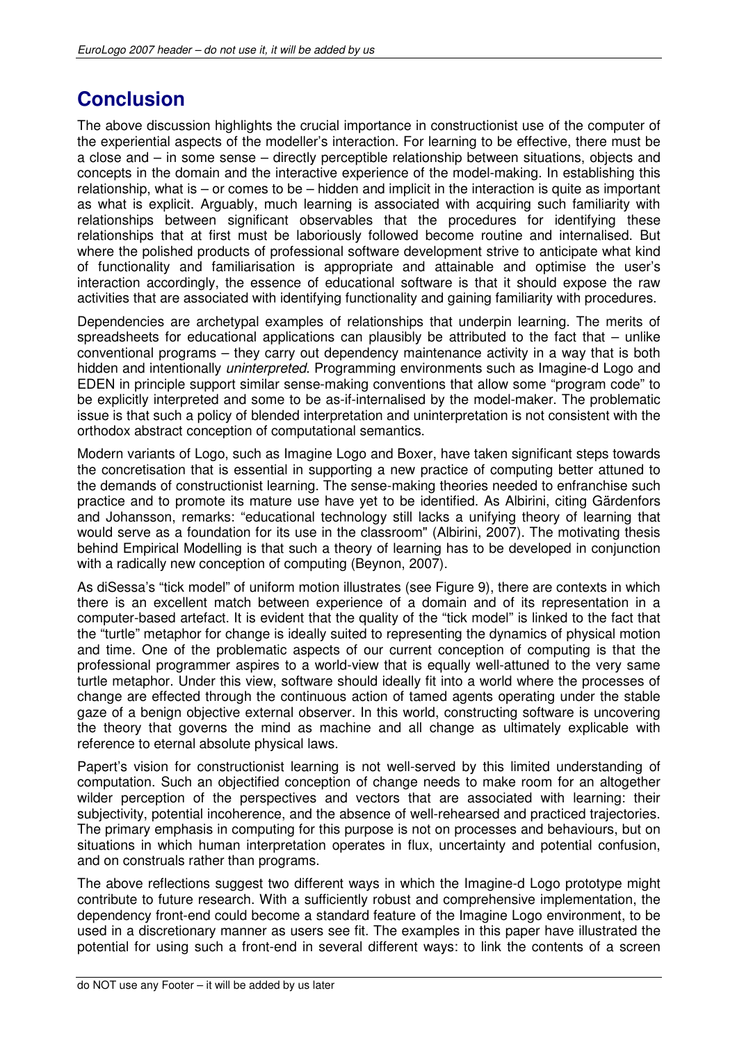# **Conclusion**

The above discussion highlights the crucial importance in constructionist use of the computer of the experiential aspects of the modeller's interaction. For learning to be effective, there must be a close and – in some sense – directly perceptible relationship between situations, objects and concepts in the domain and the interactive experience of the model-making. In establishing this relationship, what is – or comes to be – hidden and implicit in the interaction is quite as important as what is explicit. Arguably, much learning is associated with acquiring such familiarity with relationships between significant observables that the procedures for identifying these relationships that at first must be laboriously followed become routine and internalised. But where the polished products of professional software development strive to anticipate what kind of functionality and familiarisation is appropriate and attainable and optimise the user's interaction accordingly, the essence of educational software is that it should expose the raw activities that are associated with identifying functionality and gaining familiarity with procedures.

Dependencies are archetypal examples of relationships that underpin learning. The merits of spreadsheets for educational applications can plausibly be attributed to the fact that  $-$  unlike conventional programs – they carry out dependency maintenance activity in a way that is both hidden and intentionally *uninterpreted*. Programming environments such as Imagine-d Logo and EDEN in principle support similar sense-making conventions that allow some "program code" to be explicitly interpreted and some to be as-if-internalised by the model-maker. The problematic issue is that such a policy of blended interpretation and uninterpretation is not consistent with the orthodox abstract conception of computational semantics.

Modern variants of Logo, such as Imagine Logo and Boxer, have taken significant steps towards the concretisation that is essential in supporting a new practice of computing better attuned to the demands of constructionist learning. The sense-making theories needed to enfranchise such practice and to promote its mature use have yet to be identified. As Albirini, citing Gärdenfors and Johansson, remarks: "educational technology still lacks a unifying theory of learning that would serve as a foundation for its use in the classroom" (Albirini, 2007). The motivating thesis behind Empirical Modelling is that such a theory of learning has to be developed in conjunction with a radically new conception of computing (Beynon, 2007).

As diSessa's "tick model" of uniform motion illustrates (see Figure 9), there are contexts in which there is an excellent match between experience of a domain and of its representation in a computer-based artefact. It is evident that the quality of the "tick model" is linked to the fact that the "turtle" metaphor for change is ideally suited to representing the dynamics of physical motion and time. One of the problematic aspects of our current conception of computing is that the professional programmer aspires to a world-view that is equally well-attuned to the very same turtle metaphor. Under this view, software should ideally fit into a world where the processes of change are effected through the continuous action of tamed agents operating under the stable gaze of a benign objective external observer. In this world, constructing software is uncovering the theory that governs the mind as machine and all change as ultimately explicable with reference to eternal absolute physical laws.

Papert's vision for constructionist learning is not well-served by this limited understanding of computation. Such an objectified conception of change needs to make room for an altogether wilder perception of the perspectives and vectors that are associated with learning: their subjectivity, potential incoherence, and the absence of well-rehearsed and practiced trajectories. The primary emphasis in computing for this purpose is not on processes and behaviours, but on situations in which human interpretation operates in flux, uncertainty and potential confusion, and on construals rather than programs.

The above reflections suggest two different ways in which the Imagine-d Logo prototype might contribute to future research. With a sufficiently robust and comprehensive implementation, the dependency front-end could become a standard feature of the Imagine Logo environment, to be used in a discretionary manner as users see fit. The examples in this paper have illustrated the potential for using such a front-end in several different ways: to link the contents of a screen